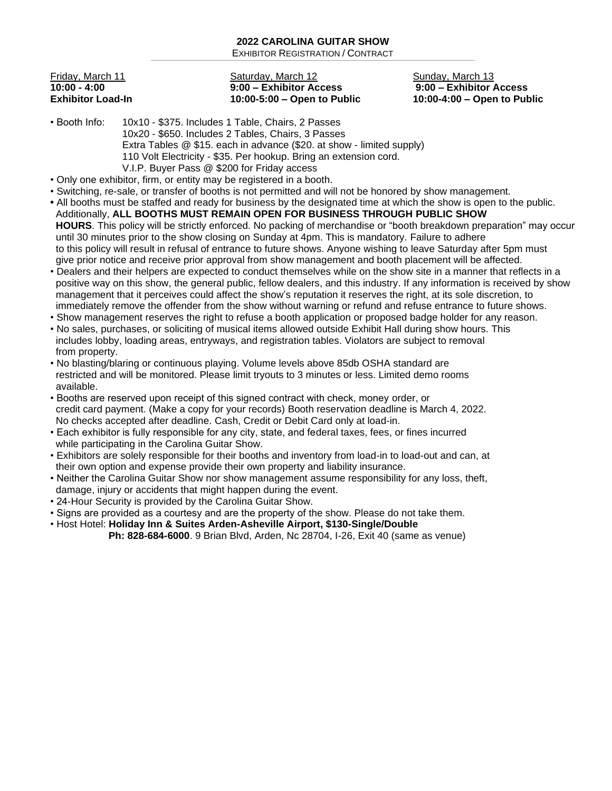| Friday, March 11         |
|--------------------------|
| 10:00 - 4:00             |
| <b>Exhibitor Load-In</b> |

## Saturday, March 12 Sunday, March 13 **10:00 - 4:00 9:00 – Exhibitor Access 9:00 – Exhibitor Access Exhibitor Load-In 10:00-5:00 – Open to Public 10:00-4:00 – Open to Public**

- Booth Info: 10x10 \$375. Includes 1 Table, Chairs, 2 Passes 10x20 - \$650. Includes 2 Tables, Chairs, 3 Passes Extra Tables @ \$15. each in advance (\$20. at show - limited supply) 110 Volt Electricity - \$35. Per hookup. Bring an extension cord. V.I.P. Buyer Pass @ \$200 for Friday access
- Only one exhibitor, firm, or entity may be registered in a booth.
- Switching, re-sale, or transfer of booths is not permitted and will not be honored by show management.
- All booths must be staffed and ready for business by the designated time at which the show is open to the public. Additionally, **ALL BOOTHS MUST REMAIN OPEN FOR BUSINESS THROUGH PUBLIC SHOW HOURS**. This policy will be strictly enforced. No packing of merchandise or "booth breakdown preparation" may occur until 30 minutes prior to the show closing on Sunday at 4pm. This is mandatory. Failure to adhere to this policy will result in refusal of entrance to future shows. Anyone wishing to leave Saturday after 5pm must give prior notice and receive prior approval from show management and booth placement will be affected.
- Dealers and their helpers are expected to conduct themselves while on the show site in a manner that reflects in a positive way on this show, the general public, fellow dealers, and this industry. If any information is received by show management that it perceives could affect the show's reputation it reserves the right, at its sole discretion, to immediately remove the offender from the show without warning or refund and refuse entrance to future shows.
- Show management reserves the right to refuse a booth application or proposed badge holder for any reason.
- No sales, purchases, or soliciting of musical items allowed outside Exhibit Hall during show hours. This includes lobby, loading areas, entryways, and registration tables. Violators are subject to removal from property.
- No blasting/blaring or continuous playing. Volume levels above 85db OSHA standard are restricted and will be monitored. Please limit tryouts to 3 minutes or less. Limited demo rooms available.
- Booths are reserved upon receipt of this signed contract with check, money order, or credit card payment. (Make a copy for your records) Booth reservation deadline is March 4, 2022. No checks accepted after deadline. Cash, Credit or Debit Card only at load-in.
- Each exhibitor is fully responsible for any city, state, and federal taxes, fees, or fines incurred while participating in the Carolina Guitar Show.
- Exhibitors are solely responsible for their booths and inventory from load-in to load-out and can, at their own option and expense provide their own property and liability insurance.
- Neither the Carolina Guitar Show nor show management assume responsibility for any loss, theft, damage, injury or accidents that might happen during the event.
- 24-Hour Security is provided by the Carolina Guitar Show.
- Signs are provided as a courtesy and are the property of the show. Please do not take them.
- Host Hotel: **Holiday Inn & Suites Arden-Asheville Airport, \$130-Single/Double Ph: 828-684-6000**. 9 Brian Blvd, Arden, Nc 28704, I-26, Exit 40 (same as venue)